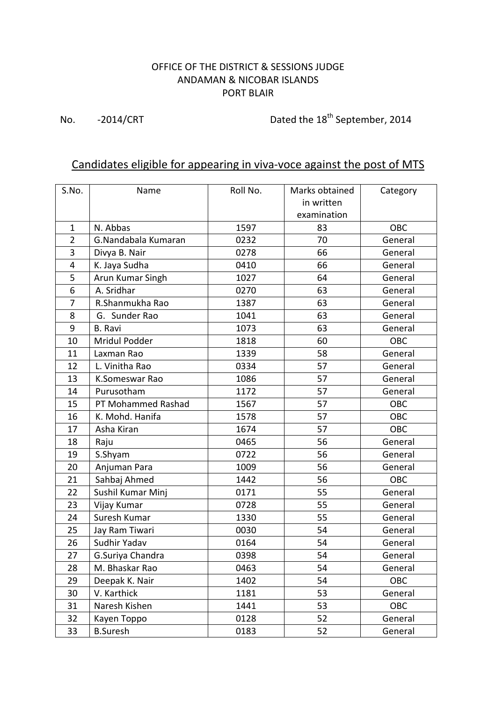## OFFICE OF THE DISTRICT & SESSIONS JUDGE ANDAMAN & NICOBAR ISLANDS PORT BLAIR

No. -2014/CRT Dated the 18<sup>th</sup> September, 2014

## Candidates eligible for appearing in viva-voce against the post of MTS

| S.No.          | Name                | Roll No. | Marks obtained<br>in written<br>examination | Category   |
|----------------|---------------------|----------|---------------------------------------------|------------|
| $\mathbf 1$    | N. Abbas            | 1597     | 83                                          | OBC        |
| $\overline{2}$ | G.Nandabala Kumaran | 0232     | 70                                          | General    |
| 3              | Divya B. Nair       | 0278     | 66                                          | General    |
| 4              | K. Jaya Sudha       | 0410     | 66                                          | General    |
| 5              | Arun Kumar Singh    | 1027     | 64                                          | General    |
| 6              | A. Sridhar          | 0270     | 63                                          | General    |
| 7              | R.Shanmukha Rao     | 1387     | 63                                          | General    |
| 8              | G. Sunder Rao       | 1041     | 63                                          | General    |
| 9              | <b>B.</b> Ravi      | 1073     | 63                                          | General    |
| 10             | Mridul Podder       | 1818     | 60                                          | OBC        |
| 11             | Laxman Rao          | 1339     | 58                                          | General    |
| 12             | L. Vinitha Rao      | 0334     | 57                                          | General    |
| 13             | K.Someswar Rao      | 1086     | 57                                          | General    |
| 14             | Purusotham          | 1172     | 57                                          | General    |
| 15             | PT Mohammed Rashad  | 1567     | 57                                          | <b>OBC</b> |
| 16             | K. Mohd. Hanifa     | 1578     | 57                                          | <b>OBC</b> |
| 17             | Asha Kiran          | 1674     | 57                                          | OBC        |
| 18             | Raju                | 0465     | 56                                          | General    |
| 19             | S.Shyam             | 0722     | 56                                          | General    |
| 20             | Anjuman Para        | 1009     | 56                                          | General    |
| 21             | Sahbaj Ahmed        | 1442     | 56                                          | OBC        |
| 22             | Sushil Kumar Minj   | 0171     | 55                                          | General    |
| 23             | Vijay Kumar         | 0728     | 55                                          | General    |
| 24             | Suresh Kumar        | 1330     | 55                                          | General    |
| 25             | Jay Ram Tiwari      | 0030     | 54                                          | General    |
| 26             | Sudhir Yadav        | 0164     | 54                                          | General    |
| 27             | G.Suriya Chandra    | 0398     | 54                                          | General    |
| 28             | M. Bhaskar Rao      | 0463     | 54                                          | General    |
| 29             | Deepak K. Nair      | 1402     | 54                                          | OBC        |
| 30             | V. Karthick         | 1181     | 53                                          | General    |
| 31             | Naresh Kishen       | 1441     | 53                                          | OBC        |
| 32             | Kayen Toppo         | 0128     | 52                                          | General    |
| 33             | <b>B.Suresh</b>     | 0183     | 52                                          | General    |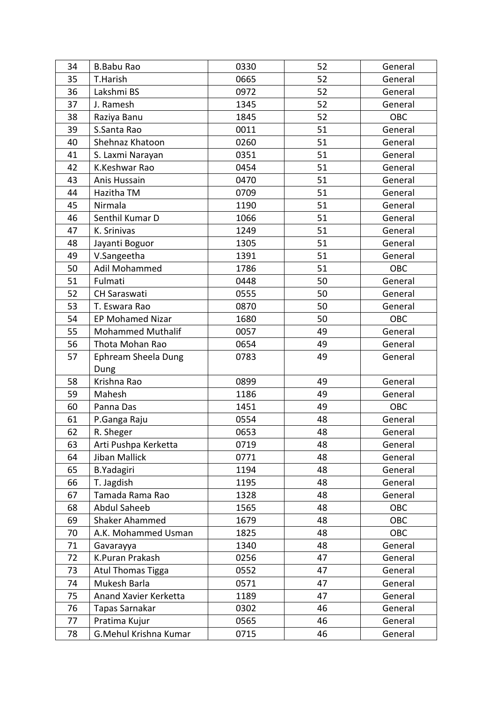| 34 | <b>B.Babu Rao</b>        | 0330 | 52 | General    |
|----|--------------------------|------|----|------------|
| 35 | T.Harish                 | 0665 | 52 | General    |
| 36 | Lakshmi BS               | 0972 | 52 | General    |
| 37 | J. Ramesh                | 1345 | 52 | General    |
| 38 | Raziya Banu              | 1845 | 52 | OBC        |
| 39 | S.Santa Rao              | 0011 | 51 | General    |
| 40 | Shehnaz Khatoon          | 0260 | 51 | General    |
| 41 | S. Laxmi Narayan         | 0351 | 51 | General    |
| 42 | K.Keshwar Rao            | 0454 | 51 | General    |
| 43 | Anis Hussain             | 0470 | 51 | General    |
| 44 | Hazitha TM               | 0709 | 51 | General    |
| 45 | Nirmala                  | 1190 | 51 | General    |
| 46 | Senthil Kumar D          | 1066 | 51 | General    |
| 47 | K. Srinivas              | 1249 | 51 | General    |
| 48 | Jayanti Boguor           | 1305 | 51 | General    |
| 49 | V.Sangeetha              | 1391 | 51 | General    |
| 50 | Adil Mohammed            | 1786 | 51 | <b>OBC</b> |
| 51 | Fulmati                  | 0448 | 50 | General    |
| 52 | <b>CH Saraswati</b>      | 0555 | 50 | General    |
| 53 | T. Eswara Rao            | 0870 | 50 | General    |
| 54 | <b>EP Mohamed Nizar</b>  | 1680 | 50 | OBC        |
| 55 | <b>Mohammed Muthalif</b> | 0057 | 49 | General    |
| 56 | Thota Mohan Rao          | 0654 | 49 | General    |
| 57 | Ephream Sheela Dung      | 0783 | 49 | General    |
|    | Dung                     |      |    |            |
| 58 | Krishna Rao              | 0899 | 49 | General    |
| 59 | Mahesh                   | 1186 | 49 | General    |
| 60 | Panna Das                | 1451 | 49 | OBC        |
| 61 | P.Ganga Raju             | 0554 | 48 | General    |
| 62 | R. Sheger                | 0653 | 48 | General    |
| 63 | Arti Pushpa Kerketta     | 0719 | 48 | General    |
| 64 | <b>Jiban Mallick</b>     | 0771 | 48 | General    |
| 65 | <b>B.Yadagiri</b>        | 1194 | 48 | General    |
| 66 | T. Jagdish               | 1195 | 48 | General    |
| 67 | Tamada Rama Rao          | 1328 | 48 | General    |
| 68 | <b>Abdul Saheeb</b>      | 1565 | 48 | OBC        |
| 69 | Shaker Ahammed           | 1679 | 48 | OBC        |
| 70 | A.K. Mohammed Usman      | 1825 | 48 | OBC        |
| 71 | Gavarayya                | 1340 | 48 | General    |
| 72 | K.Puran Prakash          | 0256 | 47 | General    |
| 73 | Atul Thomas Tigga        | 0552 | 47 | General    |
| 74 | Mukesh Barla             | 0571 | 47 | General    |
| 75 | Anand Xavier Kerketta    | 1189 | 47 | General    |
| 76 |                          |      | 46 | General    |
|    | Tapas Sarnakar           | 0302 |    |            |
| 77 | Pratima Kujur            | 0565 | 46 | General    |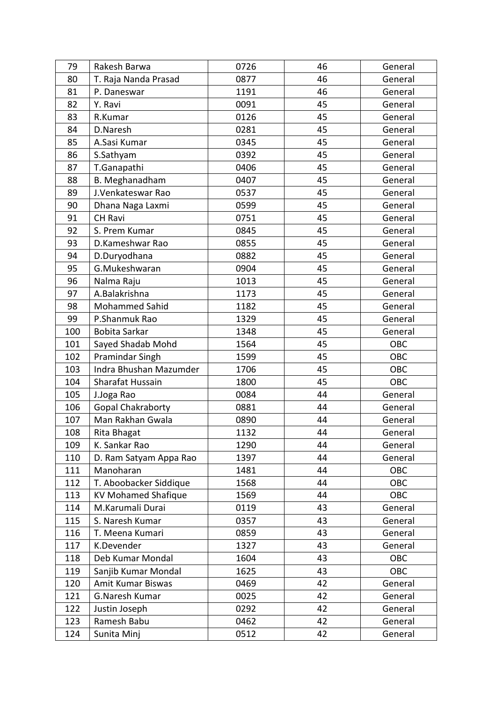| 79  | Rakesh Barwa               | 0726 | 46 | General |
|-----|----------------------------|------|----|---------|
| 80  | T. Raja Nanda Prasad       | 0877 | 46 | General |
| 81  | P. Daneswar                | 1191 | 46 | General |
| 82  | Y. Ravi                    | 0091 | 45 | General |
| 83  | R.Kumar                    | 0126 | 45 | General |
| 84  | D.Naresh                   | 0281 | 45 | General |
| 85  | A.Sasi Kumar               | 0345 | 45 | General |
| 86  | S.Sathyam                  | 0392 | 45 | General |
| 87  | T.Ganapathi                | 0406 | 45 | General |
| 88  | B. Meghanadham             | 0407 | 45 | General |
| 89  | J.Venkateswar Rao          | 0537 | 45 | General |
| 90  | Dhana Naga Laxmi           | 0599 | 45 | General |
| 91  | <b>CH Ravi</b>             | 0751 | 45 | General |
| 92  | S. Prem Kumar              | 0845 | 45 | General |
| 93  | D.Kameshwar Rao            | 0855 | 45 | General |
| 94  | D.Duryodhana               | 0882 | 45 | General |
| 95  | G.Mukeshwaran              | 0904 | 45 | General |
| 96  | Nalma Raju                 | 1013 | 45 | General |
| 97  | A.Balakrishna              | 1173 | 45 | General |
| 98  | <b>Mohammed Sahid</b>      | 1182 | 45 | General |
| 99  | P.Shanmuk Rao              | 1329 | 45 | General |
| 100 | Bobita Sarkar              | 1348 | 45 | General |
| 101 | Sayed Shadab Mohd          | 1564 | 45 | OBC     |
| 102 | Pramindar Singh            | 1599 | 45 | OBC     |
| 103 | Indra Bhushan Mazumder     | 1706 | 45 | OBC     |
| 104 | Sharafat Hussain           | 1800 | 45 | OBC     |
| 105 | J.Joga Rao                 | 0084 | 44 | General |
| 106 | Gopal Chakraborty          | 0881 | 44 | General |
| 107 | Man Rakhan Gwala           | 0890 | 44 | General |
| 108 | Rita Bhagat                | 1132 | 44 | General |
| 109 | K. Sankar Rao              | 1290 | 44 | General |
| 110 |                            |      |    |         |
|     | D. Ram Satyam Appa Rao     | 1397 | 44 | General |
| 111 | Manoharan                  | 1481 | 44 | OBC     |
| 112 | T. Aboobacker Siddique     | 1568 | 44 | OBC     |
| 113 | <b>KV Mohamed Shafique</b> | 1569 | 44 | OBC     |
| 114 | M.Karumali Durai           | 0119 | 43 | General |
| 115 | S. Naresh Kumar            | 0357 | 43 | General |
| 116 | T. Meena Kumari            | 0859 | 43 | General |
| 117 | K.Devender                 | 1327 | 43 | General |
| 118 | Deb Kumar Mondal           | 1604 | 43 | OBC     |
| 119 | Sanjib Kumar Mondal        | 1625 | 43 | OBC     |
| 120 | Amit Kumar Biswas          | 0469 | 42 | General |
| 121 | G.Naresh Kumar             | 0025 | 42 | General |
| 122 | Justin Joseph              | 0292 | 42 | General |
| 123 | Ramesh Babu                | 0462 | 42 | General |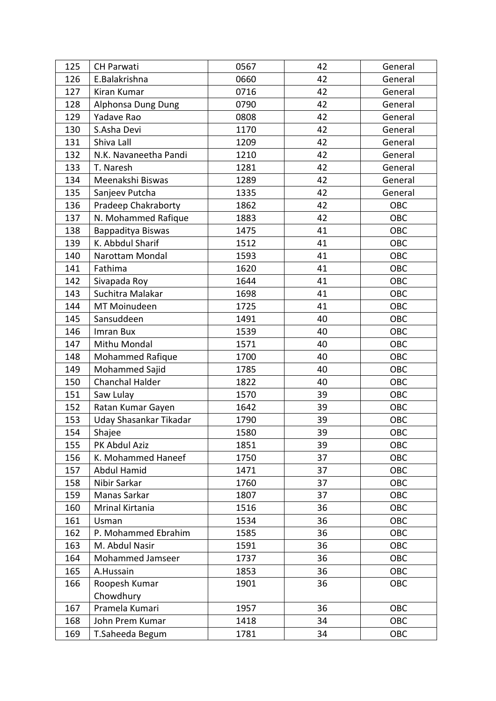| 125 | <b>CH Parwati</b>      | 0567 | 42 | General    |
|-----|------------------------|------|----|------------|
| 126 | E.Balakrishna          | 0660 | 42 | General    |
| 127 | Kiran Kumar            | 0716 | 42 | General    |
| 128 | Alphonsa Dung Dung     | 0790 | 42 | General    |
| 129 | Yadave Rao             | 0808 | 42 | General    |
| 130 | S.Asha Devi            | 1170 | 42 | General    |
| 131 | Shiva Lall             | 1209 | 42 | General    |
| 132 | N.K. Navaneetha Pandi  | 1210 | 42 | General    |
| 133 | T. Naresh              | 1281 | 42 | General    |
| 134 | Meenakshi Biswas       | 1289 | 42 | General    |
| 135 | Sanjeev Putcha         | 1335 | 42 | General    |
| 136 | Pradeep Chakraborty    | 1862 | 42 | OBC        |
| 137 | N. Mohammed Rafique    | 1883 | 42 | OBC        |
| 138 | Bappaditya Biswas      | 1475 | 41 | OBC        |
| 139 | K. Abbdul Sharif       | 1512 | 41 | OBC        |
| 140 | Narottam Mondal        | 1593 | 41 | OBC        |
| 141 | Fathima                | 1620 | 41 | OBC        |
| 142 | Sivapada Roy           | 1644 | 41 | OBC        |
| 143 | Suchitra Malakar       | 1698 | 41 | OBC        |
| 144 | MT Moinudeen           | 1725 | 41 | OBC        |
| 145 | Sansuddeen             | 1491 | 40 | OBC        |
| 146 | Imran Bux              | 1539 | 40 | OBC        |
| 147 | Mithu Mondal           | 1571 | 40 | OBC        |
| 148 | Mohammed Rafique       | 1700 | 40 | OBC        |
| 149 | Mohammed Sajid         | 1785 | 40 | <b>OBC</b> |
| 150 | Chanchal Halder        | 1822 | 40 | OBC        |
| 151 | Saw Lulay              | 1570 | 39 | <b>OBC</b> |
| 152 | Ratan Kumar Gayen      | 1642 | 39 | OBC        |
| 153 | Uday Shasankar Tikadar | 1790 | 39 | OBC        |
| 154 | Shajee                 | 1580 | 39 | <b>OBC</b> |
| 155 | PK Abdul Aziz          | 1851 | 39 | OBC        |
| 156 | K. Mohammed Haneef     | 1750 | 37 | OBC        |
| 157 | <b>Abdul Hamid</b>     | 1471 | 37 | OBC        |
| 158 | Nibir Sarkar           | 1760 | 37 | OBC        |
| 159 | Manas Sarkar           | 1807 | 37 | OBC        |
| 160 | Mrinal Kirtania        | 1516 | 36 | OBC        |
| 161 | Usman                  | 1534 | 36 | OBC        |
| 162 | P. Mohammed Ebrahim    | 1585 | 36 | <b>OBC</b> |
| 163 | M. Abdul Nasir         | 1591 | 36 | OBC        |
| 164 | Mohammed Jamseer       | 1737 | 36 | OBC        |
| 165 | A.Hussain              | 1853 | 36 | OBC        |
| 166 | Roopesh Kumar          | 1901 | 36 | OBC        |
|     | Chowdhury              |      |    |            |
| 167 | Pramela Kumari         | 1957 | 36 | <b>OBC</b> |
| 168 | John Prem Kumar        | 1418 | 34 | OBC        |
| 169 | T.Saheeda Begum        | 1781 | 34 | OBC        |